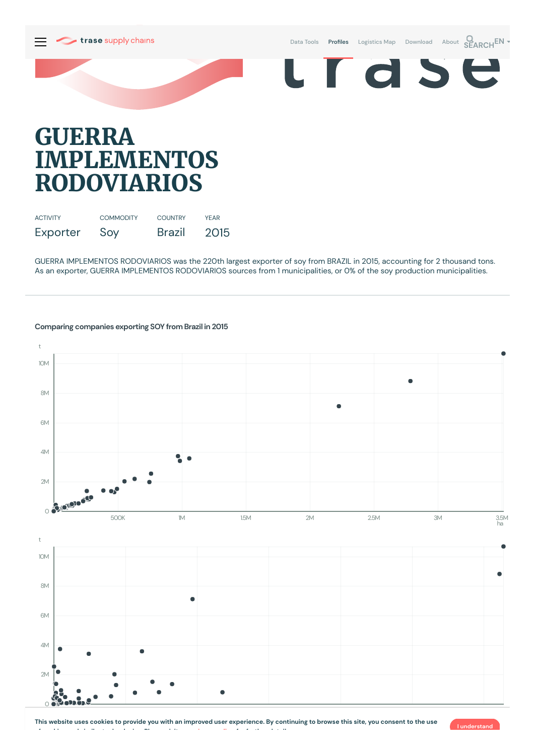

## **GUERRA IMPLEMENTOS RODOVIARIOS**

| <b>ACTIVITY</b> | <b>COMMODITY</b> | <b>COUNTRY</b> | <b>YFAR</b> |
|-----------------|------------------|----------------|-------------|
| Exporter        | Soy              | <b>Brazil</b>  | 2015        |

GUERRA IMPLEMENTOS RODOVIARIOS was the 220th largest exporter of soy from BRAZIL in 2015, accounting for 2 thousand tons. As an exporter, GUERRA IMPLEMENTOS RODOVIARIOS sources from 1municipalities, or 0% of the soy production municipalities.



## **Comparing companies exporting SOY from Brazil in 2015**